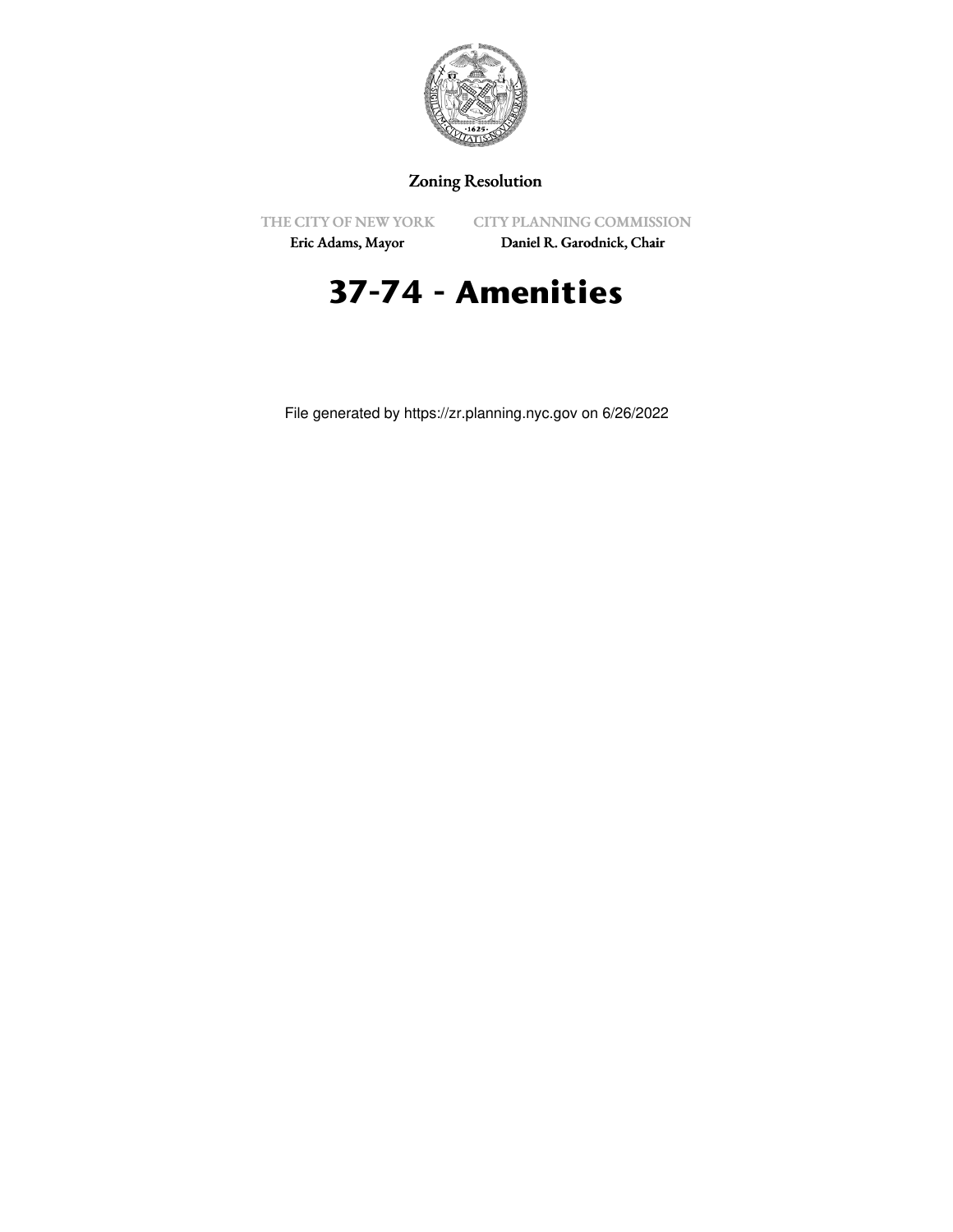

# Zoning Resolution

THE CITY OF NEW YORK

CITY PLANNING COMMISSION

Eric Adams, Mayor

Daniel R. Garodnick, Chair

# **37-74 - Amenities**

File generated by https://zr.planning.nyc.gov on 6/26/2022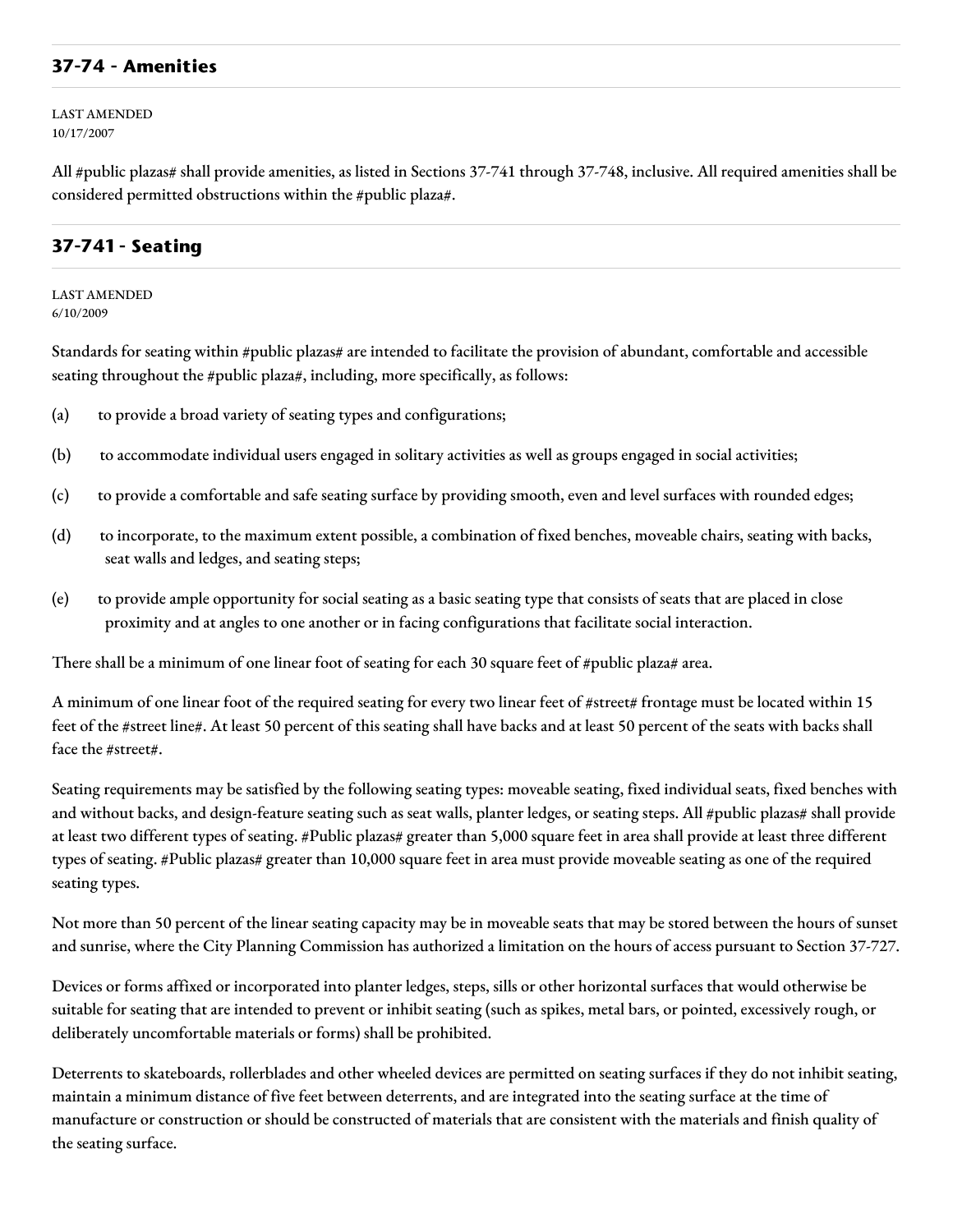#### **37-74 - Amenities**

LAST AMENDED 10/17/2007

All #public plazas# shall provide amenities, as listed in Sections 37-741 through 37-748, inclusive. All required amenities shall be considered permitted obstructions within the #public plaza#.

#### **37-741 - Seating**

LAST AMENDED 6/10/2009

Standards for seating within #public plazas# are intended to facilitate the provision of abundant, comfortable and accessible seating throughout the #public plaza#, including, more specifically, as follows:

- (a) to provide a broad variety of seating types and configurations;
- (b) to accommodate individual users engaged in solitary activities as well as groups engaged in social activities;
- (c) to provide a comfortable and safe seating surface by providing smooth, even and level surfaces with rounded edges;
- (d) to incorporate, to the maximum extent possible, a combination of fixed benches, moveable chairs, seating with backs, seat walls and ledges, and seating steps;
- (e) to provide ample opportunity for social seating as a basic seating type that consists of seats that are placed in close proximity and at angles to one another or in facing configurations that facilitate social interaction.

There shall be a minimum of one linear foot of seating for each 30 square feet of #public plaza# area.

A minimum of one linear foot of the required seating for every two linear feet of #street# frontage must be located within 15 feet of the #street line#. At least 50 percent of this seating shall have backs and at least 50 percent of the seats with backs shall face the #street#.

Seating requirements may be satisfied by the following seating types: moveable seating, fixed individual seats, fixed benches with and without backs, and design-feature seating such as seat walls, planter ledges, or seating steps. All #public plazas# shall provide at least two different types of seating. #Public plazas# greater than 5,000 square feet in area shall provide at least three different types of seating. #Public plazas# greater than 10,000 square feet in area must provide moveable seating as one of the required seating types.

Not more than 50 percent of the linear seating capacity may be in moveable seats that may be stored between the hours of sunset and sunrise, where the City Planning Commission has authorized a limitation on the hours of access pursuant to Section 37-727.

Devices or forms affixed or incorporated into planter ledges, steps, sills or other horizontal surfaces that would otherwise be suitable for seating that are intended to prevent or inhibit seating (such as spikes, metal bars, or pointed, excessively rough, or deliberately uncomfortable materials or forms) shall be prohibited.

Deterrents to skateboards, rollerblades and other wheeled devices are permitted on seating surfaces if they do not inhibit seating, maintain a minimum distance of five feet between deterrents, and are integrated into the seating surface at the time of manufacture or construction or should be constructed of materials that are consistent with the materials and finish quality of the seating surface.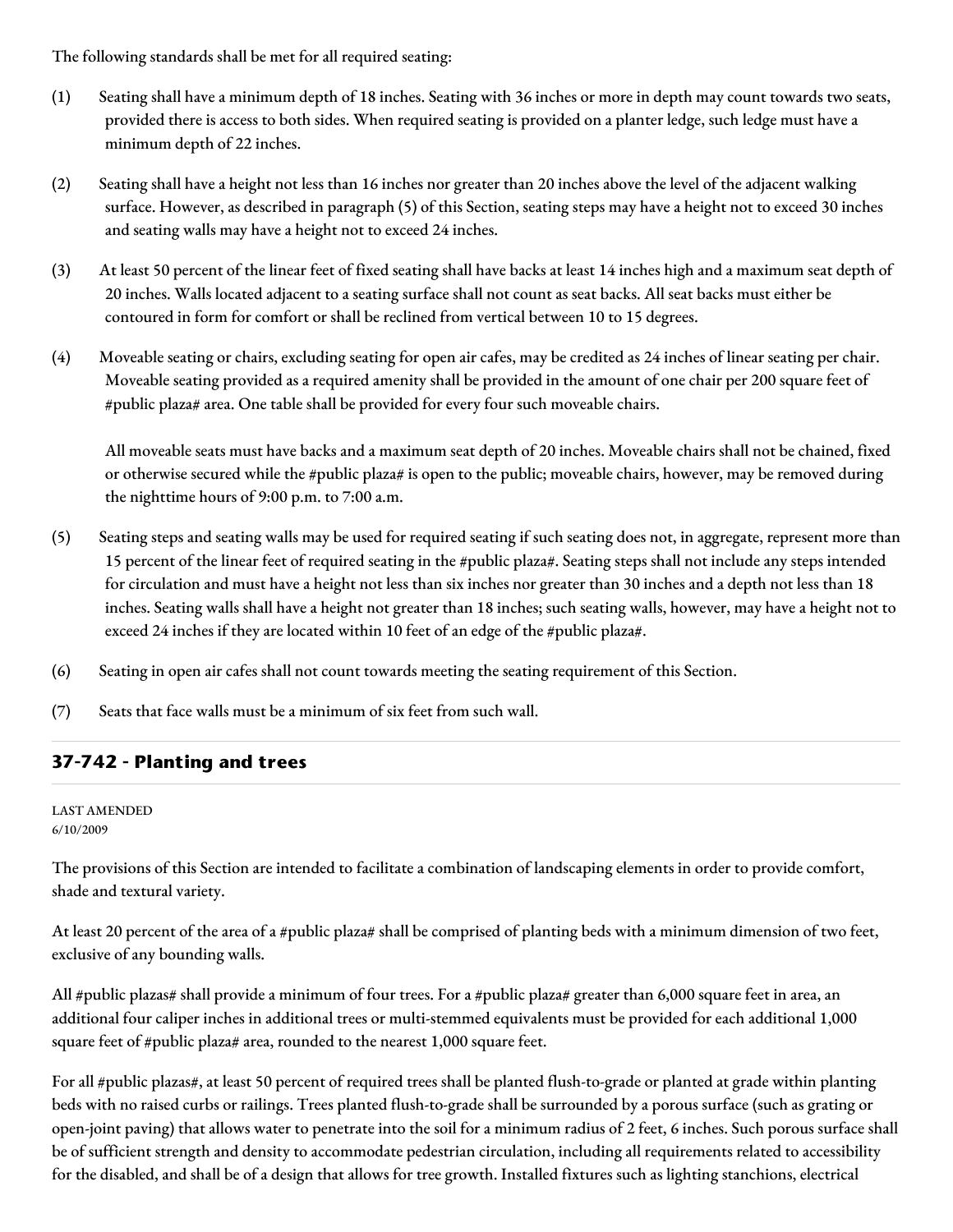The following standards shall be met for all required seating:

- (1) Seating shall have a minimum depth of 18 inches. Seating with 36 inches or more in depth may count towards two seats, provided there is access to both sides. When required seating is provided on a planter ledge, such ledge must have a minimum depth of 22 inches.
- (2) Seating shall have a height not less than 16 inches nor greater than 20 inches above the level of the adjacent walking surface. However, as described in paragraph (5) of this Section, seating steps may have a height not to exceed 30 inches and seating walls may have a height not to exceed 24 inches.
- (3) At least 50 percent of the linear feet of fixed seating shall have backs at least 14 inches high and a maximum seat depth of 20 inches. Walls located adjacent to a seating surface shall not count as seat backs. All seat backs must either be contoured in form for comfort or shall be reclined from vertical between 10 to 15 degrees.
- (4) Moveable seating or chairs, excluding seating for open air cafes, may be credited as 24 inches of linear seating per chair. Moveable seating provided as a required amenity shall be provided in the amount of one chair per 200 square feet of #public plaza# area. One table shall be provided for every four such moveable chairs.

All moveable seats must have backs and a maximum seat depth of 20 inches. Moveable chairs shall not be chained, fixed or otherwise secured while the #public plaza# is open to the public; moveable chairs, however, may be removed during the nighttime hours of 9:00 p.m. to 7:00 a.m.

- (5) Seating steps and seating walls may be used for required seating if such seating does not, in aggregate, represent more than 15 percent of the linear feet of required seating in the #public plaza#. Seating steps shall not include any steps intended for circulation and must have a height not less than six inches nor greater than 30 inches and a depth not less than 18 inches. Seating walls shall have a height not greater than 18 inches; such seating walls, however, may have a height not to exceed 24 inches if they are located within 10 feet of an edge of the #public plaza#.
- (6) Seating in open air cafes shall not count towards meeting the seating requirement of this Section.
- (7) Seats that face walls must be a minimum of six feet from such wall.

### **37-742 - Planting and trees**

LAST AMENDED 6/10/2009

The provisions of this Section are intended to facilitate a combination of landscaping elements in order to provide comfort, shade and textural variety.

At least 20 percent of the area of a #public plaza# shall be comprised of planting beds with a minimum dimension of two feet, exclusive of any bounding walls.

All #public plazas# shall provide a minimum of four trees. For a #public plaza# greater than 6,000 square feet in area, an additional four caliper inches in additional trees or multi-stemmed equivalents must be provided for each additional 1,000 square feet of #public plaza# area, rounded to the nearest 1,000 square feet.

For all #public plazas#, at least 50 percent of required trees shall be planted flush-to-grade or planted at grade within planting beds with no raised curbs or railings. Trees planted flush-to-grade shall be surrounded by a porous surface (such as grating or open-joint paving) that allows water to penetrate into the soil for a minimum radius of 2 feet, 6 inches. Such porous surface shall be of sufficient strength and density to accommodate pedestrian circulation, including all requirements related to accessibility for the disabled, and shall be of a design that allows for tree growth. Installed fixtures such as lighting stanchions, electrical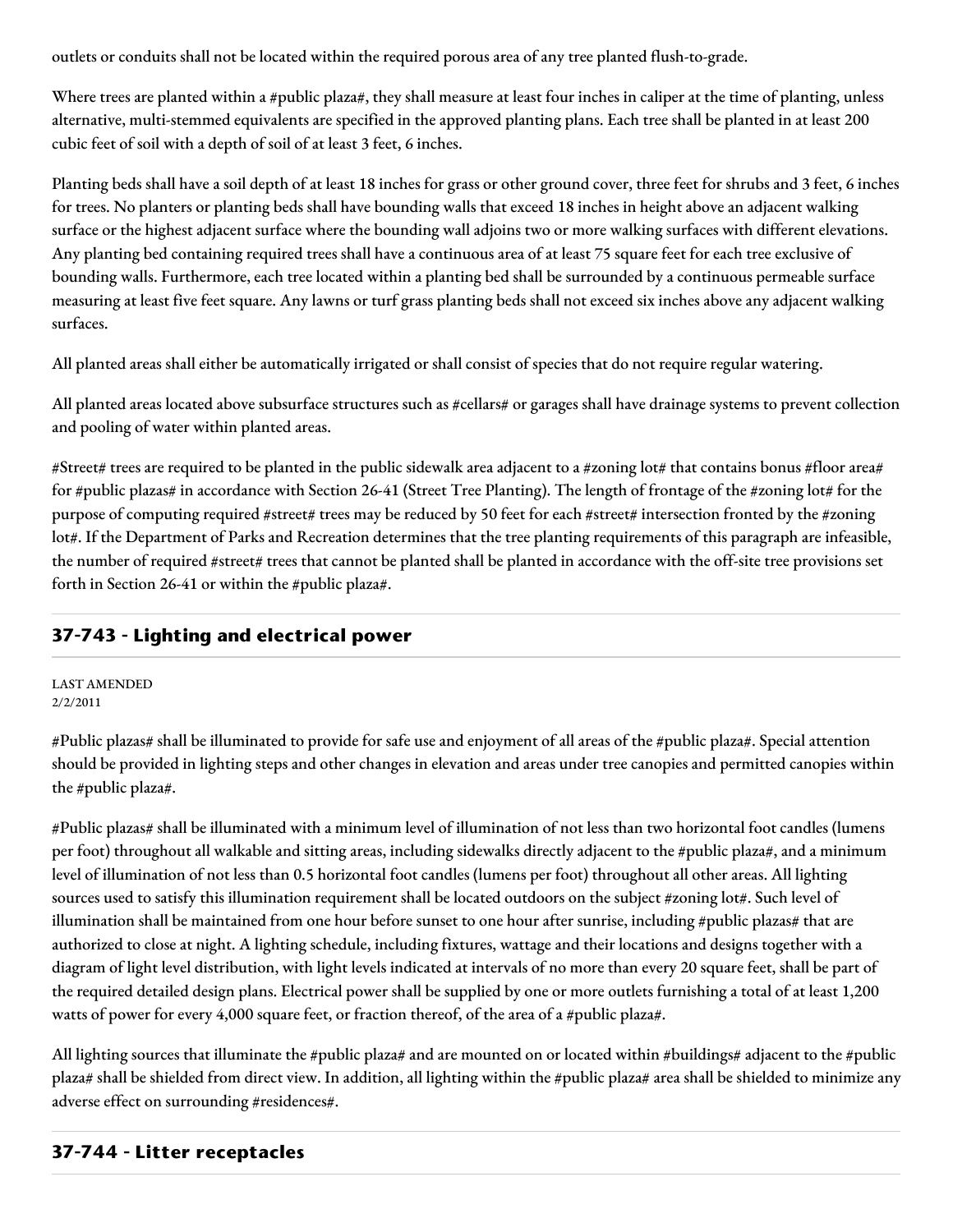outlets or conduits shall not be located within the required porous area of any tree planted flush-to-grade.

Where trees are planted within a #public plaza#, they shall measure at least four inches in caliper at the time of planting, unless alternative, multi-stemmed equivalents are specified in the approved planting plans. Each tree shall be planted in at least 200 cubic feet of soil with a depth of soil of at least 3 feet, 6 inches.

Planting beds shall have a soil depth of at least 18 inches for grass or other ground cover, three feet for shrubs and 3 feet, 6 inches for trees. No planters or planting beds shall have bounding walls that exceed 18 inches in height above an adjacent walking surface or the highest adjacent surface where the bounding wall adjoins two or more walking surfaces with different elevations. Any planting bed containing required trees shall have a continuous area of at least 75 square feet for each tree exclusive of bounding walls. Furthermore, each tree located within a planting bed shall be surrounded by a continuous permeable surface measuring at least five feet square. Any lawns or turf grass planting beds shall not exceed six inches above any adjacent walking surfaces.

All planted areas shall either be automatically irrigated or shall consist of species that do not require regular watering.

All planted areas located above subsurface structures such as #cellars# or garages shall have drainage systems to prevent collection and pooling of water within planted areas.

#Street# trees are required to be planted in the public sidewalk area adjacent to a #zoning lot# that contains bonus #floor area# for #public plazas# in accordance with Section 26-41 (Street Tree Planting). The length of frontage of the #zoning lot# for the purpose of computing required #street# trees may be reduced by 50 feet for each #street# intersection fronted by the #zoning lot#. If the Department of Parks and Recreation determines that the tree planting requirements of this paragraph are infeasible, the number of required #street# trees that cannot be planted shall be planted in accordance with the off-site tree provisions set forth in Section 26-41 or within the #public plaza#.

# **37-743 - Lighting and electrical power**

LAST AMENDED 2/2/2011

#Public plazas# shall be illuminated to provide for safe use and enjoyment of all areas of the #public plaza#. Special attention should be provided in lighting steps and other changes in elevation and areas under tree canopies and permitted canopies within the #public plaza#.

#Public plazas# shall be illuminated with a minimum level of illumination of not less than two horizontal foot candles (lumens per foot) throughout all walkable and sitting areas, including sidewalks directly adjacent to the #public plaza#, and a minimum level of illumination of not less than 0.5 horizontal foot candles (lumens per foot) throughout all other areas. All lighting sources used to satisfy this illumination requirement shall be located outdoors on the subject #zoning lot#. Such level of illumination shall be maintained from one hour before sunset to one hour after sunrise, including #public plazas# that are authorized to close at night. A lighting schedule, including fixtures, wattage and their locations and designs together with a diagram of light level distribution, with light levels indicated at intervals of no more than every 20 square feet, shall be part of the required detailed design plans. Electrical power shall be supplied by one or more outlets furnishing a total of at least 1,200 watts of power for every 4,000 square feet, or fraction thereof, of the area of a #public plaza#.

All lighting sources that illuminate the #public plaza# and are mounted on or located within #buildings# adjacent to the #public plaza# shall be shielded from direct view. In addition, all lighting within the #public plaza# area shall be shielded to minimize any adverse effect on surrounding #residences#.

# **37-744 - Litter receptacles**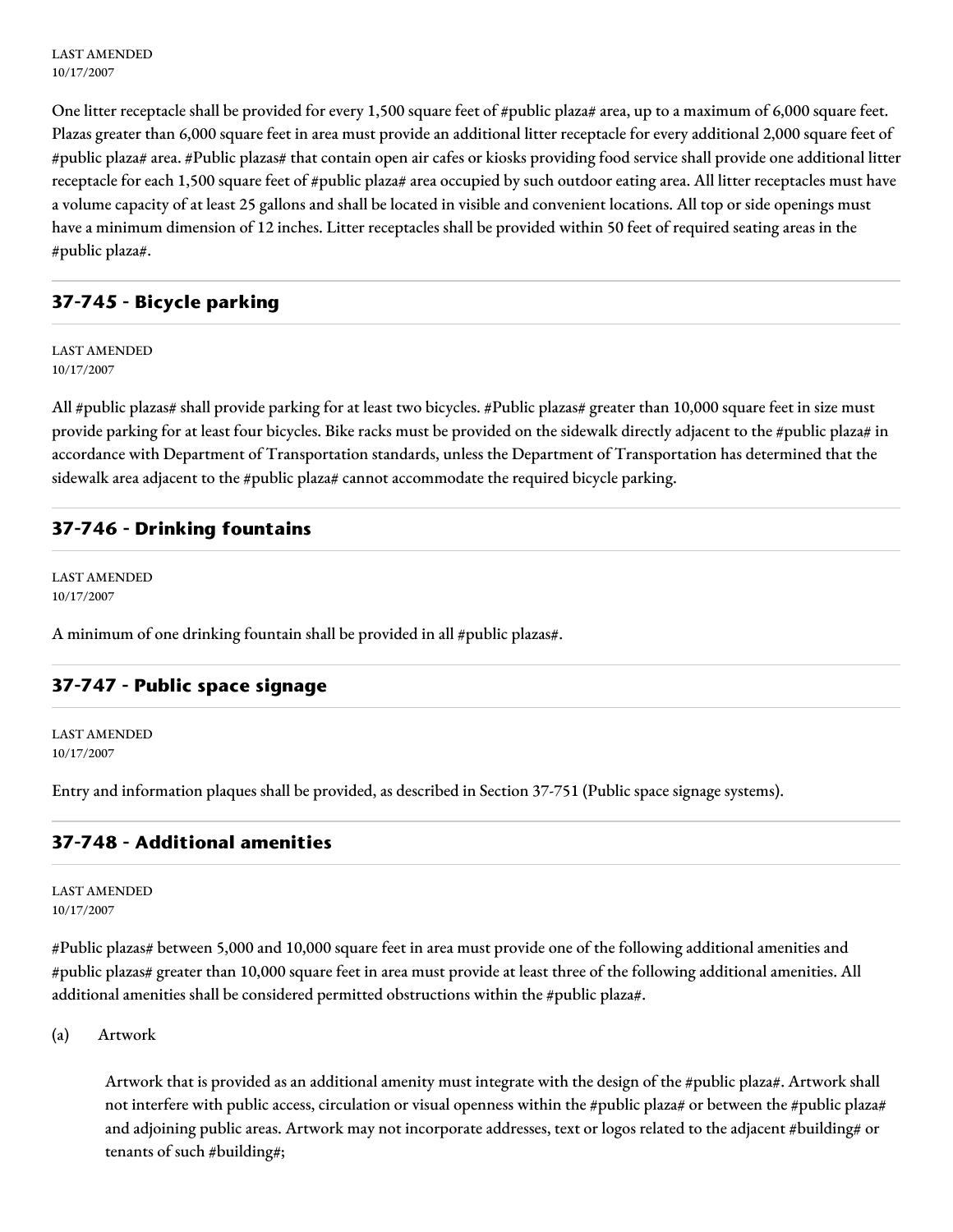LAST AMENDED 10/17/2007

One litter receptacle shall be provided for every 1,500 square feet of #public plaza# area, up to a maximum of 6,000 square feet. Plazas greater than 6,000 square feet in area must provide an additional litter receptacle for every additional 2,000 square feet of #public plaza# area. #Public plazas# that contain open air cafes or kiosks providing food service shall provide one additional litter receptacle for each 1,500 square feet of #public plaza# area occupied by such outdoor eating area. All litter receptacles must have a volume capacity of at least 25 gallons and shall be located in visible and convenient locations. All top or side openings must have a minimum dimension of 12 inches. Litter receptacles shall be provided within 50 feet of required seating areas in the #public plaza#.

## **37-745 - Bicycle parking**

LAST AMENDED 10/17/2007

All #public plazas# shall provide parking for at least two bicycles. #Public plazas# greater than 10,000 square feet in size must provide parking for at least four bicycles. Bike racks must be provided on the sidewalk directly adjacent to the #public plaza# in accordance with Department of Transportation standards, unless the Department of Transportation has determined that the sidewalk area adjacent to the #public plaza# cannot accommodate the required bicycle parking.

#### **37-746 - Drinking fountains**

LAST AMENDED 10/17/2007

A minimum of one drinking fountain shall be provided in all #public plazas#.

### **37-747 - Public space signage**

LAST AMENDED 10/17/2007

Entry and information plaques shall be provided, as described in Section 37-751 (Public space signage systems).

#### **37-748 - Additional amenities**

LAST AMENDED 10/17/2007

#Public plazas# between 5,000 and 10,000 square feet in area must provide one of the following additional amenities and #public plazas# greater than 10,000 square feet in area must provide at least three of the following additional amenities. All additional amenities shall be considered permitted obstructions within the #public plaza#.

(a) Artwork

Artwork that is provided as an additional amenity must integrate with the design of the #public plaza#. Artwork shall not interfere with public access, circulation or visual openness within the #public plaza# or between the #public plaza# and adjoining public areas. Artwork may not incorporate addresses, text or logos related to the adjacent #building# or tenants of such #building#;